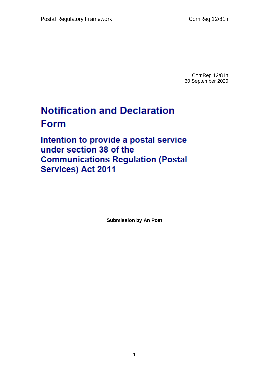ComReg 12/81n 30 September 2020

## **Notification and Declaration Form**

Intention to provide a postal service under section 38 of the **Communications Regulation (Postal Services) Act 2011** 

**Submission by An Post**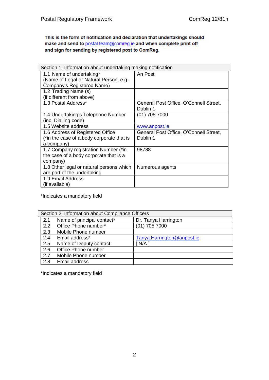This is the form of notification and declaration that undertakings should make and send to postal.team@comreg.ie and when complete print off and sign for sending by registered post to ComReg.

| Section 1. Information about undertaking making notification |                                        |
|--------------------------------------------------------------|----------------------------------------|
| 1.1 Name of undertaking*                                     | An Post                                |
| (Name of Legal or Natural Person, e.g.                       |                                        |
| Company's Registered Name)                                   |                                        |
| 1.2 Trading Name (s)                                         |                                        |
| (if different from above)                                    |                                        |
| 1.3 Postal Address*                                          | General Post Office, O'Connell Street, |
|                                                              | Dublin 1                               |
| 1.4 Undertaking's Telephone Number                           | $(01)$ 705 7000                        |
| (inc. Dialling code)                                         |                                        |
| 1.5 Website address                                          | www.anpost.ie                          |
| 1.6 Address of Registered Office                             | General Post Office, O'Connell Street, |
| (*in the case of a body corporate that is                    | Dublin 1                               |
| a company)                                                   |                                        |
| 1.7 Company registration Number (*in                         | 98788                                  |
| the case of a body corporate that is a                       |                                        |
| company)                                                     |                                        |
| 1.8 Other legal or natural persons which                     | Numerous agents                        |
| are part of the undertaking                                  |                                        |
| 1.9 Email Address                                            |                                        |
| (if available)                                               |                                        |

\*Indicates a mandatory field

| Section 2. Information about Compliance Officers |                            |                            |
|--------------------------------------------------|----------------------------|----------------------------|
| 2.1                                              | Name of principal contact* | Dr. Tanya Harrington       |
| $2.2^{\circ}$                                    | Office Phone number*       | $(01)$ 705 7000            |
| 2.3                                              | Mobile Phone number        |                            |
| 2.4                                              | Email address*             | Tanya.Harrington@anpost.ie |
| 2.5                                              | Name of Deputy contact     | N/A                        |
| 2.6                                              | Office Phone number        |                            |
| 2.7                                              | Mobile Phone number        |                            |
| 2.8                                              | Email address              |                            |

\*Indicates a mandatory field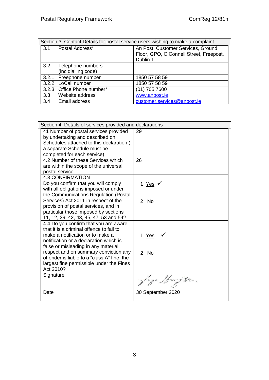| Section 3. Contact Details for postal service users wishing to make a complaint |                            |                                                                               |
|---------------------------------------------------------------------------------|----------------------------|-------------------------------------------------------------------------------|
| 3.1                                                                             | Postal Address*            | An Post, Customer Services, Ground<br>Floor, GPO, O'Connell Street, Freepost, |
|                                                                                 |                            | Dublin 1                                                                      |
|                                                                                 | 3.2 Telephone numbers      |                                                                               |
|                                                                                 | (inc dialling code)        |                                                                               |
|                                                                                 | 3.2.1 Freephone number     | 1850 57 58 59                                                                 |
|                                                                                 | 3.2.2 LoCall number        | 1850 57 58 59                                                                 |
|                                                                                 | 3.2.3 Office Phone number* | (01) 705 7600                                                                 |
| 3.3                                                                             | Website address            | www.anpost.ie                                                                 |
| 3.4                                                                             | Email address              | customer.services@anpost.ie                                                   |

| Section 4. Details of services provided and declarations                                                                                                                                               |                   |
|--------------------------------------------------------------------------------------------------------------------------------------------------------------------------------------------------------|-------------------|
| 41 Number of postal services provided<br>by undertaking and described on<br>Schedules attached to this declaration (<br>a separate Schedule must be<br>completed for each service)                     | 29                |
| 4.2 Number of these Services which<br>are within the scope of the universal<br>postal service                                                                                                          | 26                |
| <b>4.3 CONFIRMATION</b><br>Do you confirm that you will comply<br>with all obligations imposed or under<br>the Communications Regulation (Postal                                                       | 1 <u>Yes</u> ✔    |
| Services) Act 2011 in respect of the<br>provision of postal services, and in<br>particular those imposed by sections<br>11, 12, 39, 42, 43, 45, 47, 53 and 54?                                         | 2 No              |
| 4.4 Do you confirm that you are aware<br>that it is a criminal offence to fail to<br>make a notification or to make a<br>notification or a declaration which is<br>false or misleading in any material | <u>1 Yes</u>      |
| respect and on summary conviction any<br>offender is liable to a "class A" fine, the<br>largest fine permissible under the Fines<br>Act 2010?                                                          | 2 No              |
| Signature                                                                                                                                                                                              | lanya Harry       |
| Date                                                                                                                                                                                                   | 30 September 2020 |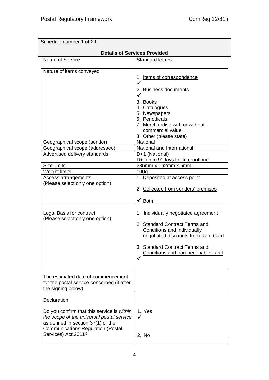| Schedule number 1 of 29                                                                                                                                                                          |                                                                                                                                                                                                                                                                                                                                                                                                                                         |
|--------------------------------------------------------------------------------------------------------------------------------------------------------------------------------------------------|-----------------------------------------------------------------------------------------------------------------------------------------------------------------------------------------------------------------------------------------------------------------------------------------------------------------------------------------------------------------------------------------------------------------------------------------|
|                                                                                                                                                                                                  | <b>Details of Services Provided</b>                                                                                                                                                                                                                                                                                                                                                                                                     |
| Name of Service                                                                                                                                                                                  | <b>Standard letters</b>                                                                                                                                                                                                                                                                                                                                                                                                                 |
| Nature of items conveyed<br>Geographical scope (sender)                                                                                                                                          | 1. Items of correspondence<br>$\checkmark$<br>2. Business documents<br>3. Books<br>4. Catalogues<br>5. Newspapers<br>6. Periodicals<br>7. Merchandise with or without<br>commercial value<br>8. Other (please state)<br>National<br>National and International                                                                                                                                                                          |
| Geographical scope (addressee)                                                                                                                                                                   |                                                                                                                                                                                                                                                                                                                                                                                                                                         |
| Advertised delivery standards<br><b>Size limits</b><br>Weight limits<br>Access arrangements<br>(Please select only one option)<br>Legal Basis for contract<br>(Please select only one option)    | D+1 (National)<br>D+ 'up to 9' days for International<br>235mm x 162mm x 5mm<br>100 <sub>q</sub><br>1. Deposited at access point<br>2. Collected from senders' premises<br>$\checkmark$ Both<br>Individually negotiated agreement<br>1<br><b>Standard Contract Terms and</b><br>2<br>Conditions and individually<br>negotiated discounts from Rate Card<br>3 Standard Contract Terms and<br><b>Conditions and non-negotiable Tariff</b> |
| The estimated date of commencement<br>for the postal service concerned (if after<br>the signing below)                                                                                           |                                                                                                                                                                                                                                                                                                                                                                                                                                         |
| Declaration                                                                                                                                                                                      |                                                                                                                                                                                                                                                                                                                                                                                                                                         |
| Do you confirm that this service is within<br>the scope of the universal postal service<br>as defined in section 37(1) of the<br><b>Communications Regulation (Postal</b><br>Services) Act 2011? | 1. Yes<br>2. No                                                                                                                                                                                                                                                                                                                                                                                                                         |
|                                                                                                                                                                                                  |                                                                                                                                                                                                                                                                                                                                                                                                                                         |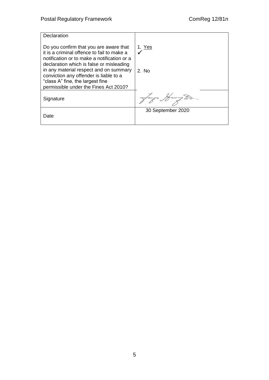| Declaration                                                                                                                                                                                                                                                                                                                                      |                        |
|--------------------------------------------------------------------------------------------------------------------------------------------------------------------------------------------------------------------------------------------------------------------------------------------------------------------------------------------------|------------------------|
| Do you confirm that you are aware that<br>it is a criminal offence to fail to make a<br>notification or to make a notification or a<br>declaration which is false or misleading<br>in any material respect and on summary<br>conviction any offender is liable to a<br>"class A" fine, the largest fine<br>permissible under the Fines Act 2010? | 1. <u>Yes</u><br>2. No |
| Signature                                                                                                                                                                                                                                                                                                                                        | anya Marrug To-        |
| Date                                                                                                                                                                                                                                                                                                                                             | 30 September 2020      |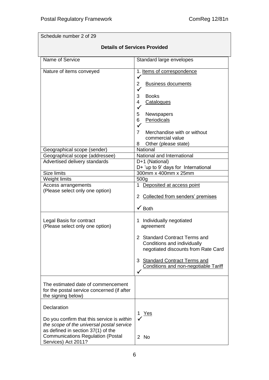Schedule number 2 of 29

## **Details of Services Provided**

| Name of Service                            | Standard large envelopes                                           |
|--------------------------------------------|--------------------------------------------------------------------|
| Nature of items conveyed                   | 1. Items of correspondence                                         |
|                                            | <b>Business documents</b><br>2<br>$\checkmark$                     |
|                                            | 3<br><b>Books</b>                                                  |
|                                            | Catalogues<br>4                                                    |
|                                            |                                                                    |
|                                            | Newspapers<br>5                                                    |
|                                            | Periodicals<br>6<br>$\checkmark$                                   |
|                                            | $\overline{7}$<br>Merchandise with or without                      |
|                                            | commercial value                                                   |
|                                            | Other (please state)<br>8                                          |
| Geographical scope (sender)                | National                                                           |
| Geographical scope (addressee)             | National and International                                         |
| Advertised delivery standards              | D+1 (National)                                                     |
| <b>Size limits</b>                         | D+ 'up to 9' days for International                                |
| Weight limits                              | 300mm x 400mm x 25mm<br>500 <sub>g</sub>                           |
| Access arrangements                        | Deposited at access point<br>1                                     |
| (Please select only one option)            |                                                                    |
|                                            | 2 Collected from senders' premises                                 |
|                                            | $\checkmark$ Both                                                  |
| Legal Basis for contract                   | 1 Individually negotiated                                          |
| (Please select only one option)            | agreement                                                          |
|                                            |                                                                    |
|                                            | 2 Standard Contract Terms and                                      |
|                                            | Conditions and individually<br>negotiated discounts from Rate Card |
|                                            |                                                                    |
|                                            | <b>Standard Contract Terms and</b><br>3                            |
|                                            | <b>Conditions and non-negotiable Tariff</b>                        |
|                                            |                                                                    |
| The estimated date of commencement         |                                                                    |
| for the postal service concerned (if after |                                                                    |
| the signing below)                         |                                                                    |
|                                            |                                                                    |
| Declaration                                |                                                                    |
| Do you confirm that this service is within | Yes<br>1.                                                          |
| the scope of the universal postal service  |                                                                    |
| as defined in section 37(1) of the         |                                                                    |
| <b>Communications Regulation (Postal</b>   | 2 No                                                               |
| Services) Act 2011?                        |                                                                    |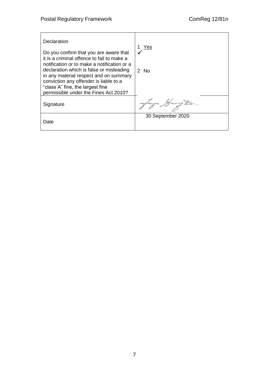| Declaration<br>Do you confirm that you are aware that<br>it is a criminal offence to fail to make a<br>notification or to make a notification or a<br>declaration which is false or misleading<br>in any material respect and on summary<br>conviction any offender is liable to a<br>"class A" fine, the largest fine<br>permissible under the Fines Act 2010? | Yes<br>$2$ No     |
|-----------------------------------------------------------------------------------------------------------------------------------------------------------------------------------------------------------------------------------------------------------------------------------------------------------------------------------------------------------------|-------------------|
| Signature                                                                                                                                                                                                                                                                                                                                                       |                   |
| Date                                                                                                                                                                                                                                                                                                                                                            | 30 September 2020 |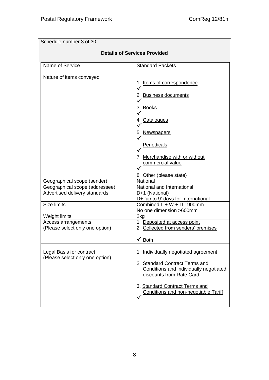| Schedule number 3 of 30                                     |                                                                                                                                                                                                                         |  |
|-------------------------------------------------------------|-------------------------------------------------------------------------------------------------------------------------------------------------------------------------------------------------------------------------|--|
| <b>Details of Services Provided</b>                         |                                                                                                                                                                                                                         |  |
| Name of Service                                             | <b>Standard Packets</b>                                                                                                                                                                                                 |  |
| Nature of items conveyed                                    | Items of correspondence<br><b>Business documents</b><br>2<br>3 Books<br>Catalogues<br>4<br><b>Newspapers</b><br>5<br>Periodicals<br>7 Merchandise with or without<br>commercial value<br>8 Other (please state)         |  |
| Geographical scope (sender)                                 | National                                                                                                                                                                                                                |  |
| Geographical scope (addressee)                              | National and International                                                                                                                                                                                              |  |
| Advertised delivery standards                               | D+1 (National)<br>D+ 'up to 9' days for International                                                                                                                                                                   |  |
| <b>Size limits</b>                                          | Combined $L + W + D$ : 900mm<br>No one dimension >600mm                                                                                                                                                                 |  |
| Weight limits                                               | 2kg                                                                                                                                                                                                                     |  |
| Access arrangements<br>(Please select only one option)      | 1 Deposited at access point<br>2 Collected from senders' premises<br>$\checkmark$ Both                                                                                                                                  |  |
| Legal Basis for contract<br>(Please select only one option) | Individually negotiated agreement<br>1<br>2 Standard Contract Terms and<br>Conditions and individually negotiated<br>discounts from Rate Card<br>3. Standard Contract Terms and<br>Conditions and non-negotiable Tariff |  |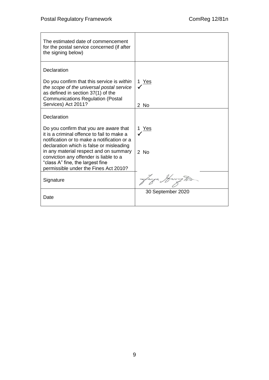| The estimated date of commencement<br>for the postal service concerned (if after<br>the signing below)                                                                          |                   |
|---------------------------------------------------------------------------------------------------------------------------------------------------------------------------------|-------------------|
| Declaration                                                                                                                                                                     |                   |
| Do you confirm that this service is within<br>the scope of the universal postal service<br>as defined in section 37(1) of the<br><b>Communications Regulation (Postal</b>       | 1 Yes             |
| Services) Act 2011?                                                                                                                                                             | 2 No              |
| Declaration                                                                                                                                                                     |                   |
| Do you confirm that you are aware that<br>it is a criminal offence to fail to make a<br>notification or to make a notification or a<br>declaration which is false or misleading | Yes               |
| in any material respect and on summary<br>conviction any offender is liable to a<br>"class A" fine, the largest fine<br>permissible under the Fines Act 2010?                   | $2$ No            |
| Signature                                                                                                                                                                       | lanza Harry To.   |
| Date                                                                                                                                                                            | 30 September 2020 |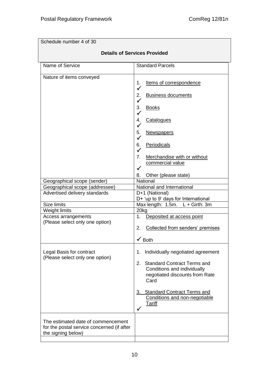| Schedule number 4 of 30                                                                                |                                                                                                                                                                                                                                                                                                          |  |
|--------------------------------------------------------------------------------------------------------|----------------------------------------------------------------------------------------------------------------------------------------------------------------------------------------------------------------------------------------------------------------------------------------------------------|--|
| <b>Details of Services Provided</b>                                                                    |                                                                                                                                                                                                                                                                                                          |  |
| Name of Service                                                                                        | <b>Standard Parcels</b>                                                                                                                                                                                                                                                                                  |  |
| Nature of items conveyed                                                                               | Items of correspondence<br>1.<br>$\checkmark$<br><b>Business documents</b><br>2.<br>3.<br><b>Books</b><br>$\checkmark$<br>Catalogues<br>4.<br>✓<br>5.<br><b>Newspapers</b><br>✓<br>Periodicals<br>6.<br>$\checkmark$<br>7.<br>Merchandise with or without<br>commercial value<br>8. Other (please state) |  |
| Geographical scope (sender)<br>Geographical scope (addressee)                                          | National<br>National and International                                                                                                                                                                                                                                                                   |  |
| Advertised delivery standards                                                                          | D+1 (National)<br>D+ 'up to 9' days for International                                                                                                                                                                                                                                                    |  |
| Size limits                                                                                            | Max length: 1.5m. L + Girth: 3m                                                                                                                                                                                                                                                                          |  |
| Weight limits<br>Access arrangements<br>(Please select only one option)                                | 20kg<br>1.<br>Deposited at access point<br>Collected from senders' premises<br>2.<br>$\checkmark$ Both                                                                                                                                                                                                   |  |
| Legal Basis for contract<br>(Please select only one option)                                            | Individually negotiated agreement<br>1.<br><b>Standard Contract Terms and</b><br>2.<br>Conditions and individually<br>negotiated discounts from Rate<br>Card<br>3. Standard Contract Terms and<br>Conditions and non-negotiable<br><b>Tariff</b>                                                         |  |
| The estimated date of commencement<br>for the postal service concerned (if after<br>the signing below) |                                                                                                                                                                                                                                                                                                          |  |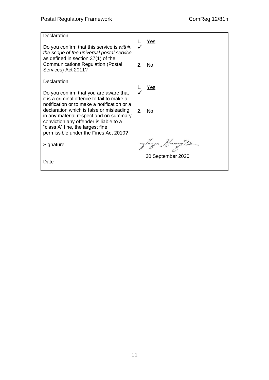| <b>Declaration</b>                                                                 | Yes<br>1.                                |
|------------------------------------------------------------------------------------|------------------------------------------|
| Do you confirm that this service is within                                         |                                          |
| the scope of the universal postal service<br>as defined in section 37(1) of the    |                                          |
| <b>Communications Regulation (Postal</b><br>Services) Act 2011?                    | $\mathcal{P}_{\mathcal{C}}$<br><b>No</b> |
|                                                                                    |                                          |
| Declaration                                                                        |                                          |
| Do you confirm that you are aware that                                             | <u>Yes</u>                               |
| it is a criminal offence to fail to make a                                         |                                          |
| notification or to make a notification or a                                        |                                          |
| declaration which is false or misleading<br>in any material respect and on summary | 2.<br>N <sub>o</sub>                     |
| conviction any offender is liable to a                                             |                                          |
| "class A" fine, the largest fine<br>permissible under the Fines Act 2010?          |                                          |
|                                                                                    |                                          |
| Signature                                                                          |                                          |
|                                                                                    | 30 September 2020                        |
| Date                                                                               |                                          |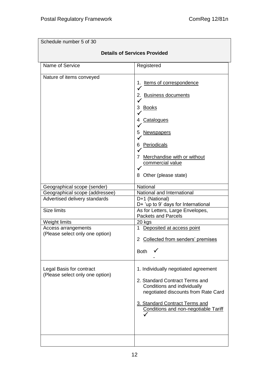| Schedule number 5 of 30                                                                                              |                                                                                                                                                                                                                                   |  |
|----------------------------------------------------------------------------------------------------------------------|-----------------------------------------------------------------------------------------------------------------------------------------------------------------------------------------------------------------------------------|--|
| <b>Details of Services Provided</b>                                                                                  |                                                                                                                                                                                                                                   |  |
| Name of Service                                                                                                      | Registered                                                                                                                                                                                                                        |  |
| Nature of items conveyed                                                                                             | Items of correspondence<br>1.<br>✓<br>2. Business documents<br><u>Books</u><br>3<br>Catalogues<br>4<br>5<br><u>Newspapers</u><br>Periodicals<br>6<br>Merchandise with or without<br>commercial value<br>Other (please state)<br>8 |  |
| Geographical scope (sender)<br>Geographical scope (addressee)<br>Advertised delivery standards<br><b>Size limits</b> | National<br>National and International<br>D+1 (National)<br>D+ 'up to 9' days for International<br>As for Letters, Large Envelopes,<br><b>Packets and Parcels</b>                                                                 |  |
| Weight limits<br>Access arrangements<br>(Please select only one option)                                              | 20 kgs<br>1 Deposited at access point<br>2 Collected from senders' premises<br><b>Both</b>                                                                                                                                        |  |
| Legal Basis for contract<br>(Please select only one option)                                                          | 1. Individually negotiated agreement<br>2. Standard Contract Terms and<br>Conditions and individually<br>negotiated discounts from Rate Card<br>3. Standard Contract Terms and<br><b>Conditions and non-negotiable Tariff</b>     |  |
|                                                                                                                      |                                                                                                                                                                                                                                   |  |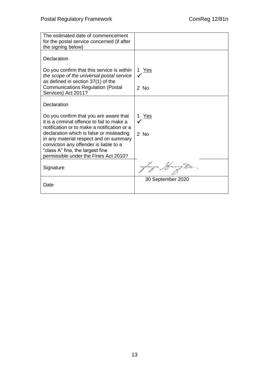| The estimated date of commencement<br>for the postal service concerned (if after<br>the signing below)                              |                   |
|-------------------------------------------------------------------------------------------------------------------------------------|-------------------|
| Declaration                                                                                                                         |                   |
| Do you confirm that this service is within<br>the scope of the universal postal service                                             | 1 Yes             |
| as defined in section 37(1) of the<br><b>Communications Regulation (Postal</b><br>Services) Act 2011?                               | 2 No              |
| Declaration                                                                                                                         |                   |
| Do you confirm that you are aware that<br>it is a criminal offence to fail to make a<br>notification or to make a notification or a | 1 Yes             |
| declaration which is false or misleading<br>in any material respect and on summary<br>conviction any offender is liable to a        | 2 No              |
| "class A" fine, the largest fine<br>permissible under the Fines Act 2010?                                                           |                   |
| Signature                                                                                                                           | anya Harrug Po-   |
| Date                                                                                                                                | 30 September 2020 |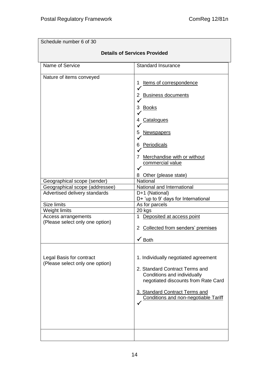| Schedule number 6 of 30                                     |                                                                                                                                                                                                                        |  |
|-------------------------------------------------------------|------------------------------------------------------------------------------------------------------------------------------------------------------------------------------------------------------------------------|--|
| <b>Details of Services Provided</b>                         |                                                                                                                                                                                                                        |  |
| Name of Service                                             | <b>Standard Insurance</b>                                                                                                                                                                                              |  |
| Nature of items conveyed                                    | Items of correspondence<br>1<br>2 Business documents<br>3 Books<br><b>Catalogues</b><br>4<br>Newspapers<br>5<br>Periodicals<br>6<br>Merchandise with or without<br>7<br>commercial value                               |  |
| Geographical scope (sender)                                 | 8 Other (please state)<br><b>National</b>                                                                                                                                                                              |  |
| Geographical scope (addressee)                              | National and International                                                                                                                                                                                             |  |
| Advertised delivery standards                               | D+1 (National)                                                                                                                                                                                                         |  |
|                                                             | D+ 'up to 9' days for International                                                                                                                                                                                    |  |
| <b>Size limits</b>                                          | As for parcels                                                                                                                                                                                                         |  |
| Weight limits                                               | 20 kgs                                                                                                                                                                                                                 |  |
| Access arrangements<br>(Please select only one option)      | 1 Deposited at access point<br>2 Collected from senders' premises<br>$\checkmark$ Both                                                                                                                                 |  |
| Legal Basis for contract<br>(Please select only one option) | 1. Individually negotiated agreement<br>2. Standard Contract Terms and<br>Conditions and individually<br>negotiated discounts from Rate Card<br>3. Standard Contract Terms and<br>Conditions and non-negotiable Tariff |  |
|                                                             |                                                                                                                                                                                                                        |  |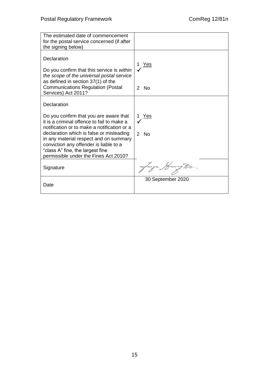| The estimated date of commencement<br>for the postal service concerned (if after<br>the signing below)                                                                                                                                                                                                                                                          |                    |
|-----------------------------------------------------------------------------------------------------------------------------------------------------------------------------------------------------------------------------------------------------------------------------------------------------------------------------------------------------------------|--------------------|
| Declaration<br>Do you confirm that this service is within<br>the scope of the universal postal service<br>as defined in section 37(1) of the<br><b>Communications Regulation (Postal</b><br>Services) Act 2011?                                                                                                                                                 | <u>Yes</u><br>2 No |
| Declaration<br>Do you confirm that you are aware that<br>it is a criminal offence to fail to make a<br>notification or to make a notification or a<br>declaration which is false or misleading<br>in any material respect and on summary<br>conviction any offender is liable to a<br>"class A" fine, the largest fine<br>permissible under the Fines Act 2010? | Yes<br>2 No        |
| Signature                                                                                                                                                                                                                                                                                                                                                       |                    |
| Date                                                                                                                                                                                                                                                                                                                                                            | 30 September 2020  |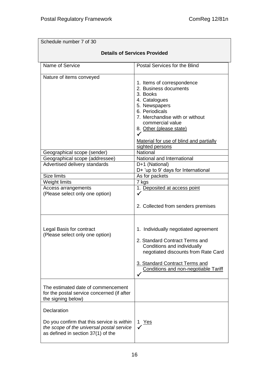Schedule number 7 of 30 **Details of Services Provided** Name of Service **Postal Services** For the Blind Nature of items conveyed 1. Items of correspondence 2. Business documents 3. Books 4. Catalogues 5. Newspapers 6. Periodicals 7. Merchandise with or without commercial value 8. Other (please state)  $\checkmark$ Material for use of blind and partially sighted persons Geographical scope (sender) National Geographical scope (addressee) | National and International Advertised delivery standards D+1 (National) D+ 'up to 9' days for International Size limits As for packets Weight limits 7 kgs Access arrangements (Please select only one option) 1. Deposited at access point  $\checkmark$ 2. Collected from senders premises Legal Basis for contract (Please select only one option) 1. Individually negotiated agreement 2. Standard Contract Terms and Conditions and individually negotiated discounts from Rate Card 3. Standard Contract Terms and Conditions and non-negotiable Tariff  $\checkmark$ The estimated date of commencement for the postal service concerned (if after the signing below) **Declaration** Do you confirm that this service is *within the scope of the universal postal service* as defined in section 37(1) of the 1 Yes  $\checkmark$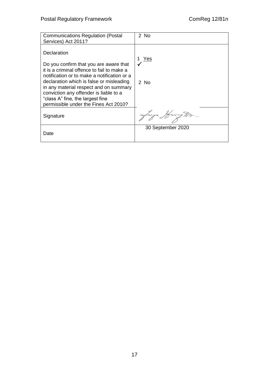| <b>Communications Regulation (Postal</b><br>Services) Act 2011?                                                                                                                                                                                                                                                                                                 | 2 No              |
|-----------------------------------------------------------------------------------------------------------------------------------------------------------------------------------------------------------------------------------------------------------------------------------------------------------------------------------------------------------------|-------------------|
| Declaration<br>Do you confirm that you are aware that<br>it is a criminal offence to fail to make a<br>notification or to make a notification or a<br>declaration which is false or misleading<br>in any material respect and on summary<br>conviction any offender is liable to a<br>"class A" fine, the largest fine<br>permissible under the Fines Act 2010? | Yes<br>$2$ No     |
| Signature                                                                                                                                                                                                                                                                                                                                                       | Lanza Harry Ton   |
| Date                                                                                                                                                                                                                                                                                                                                                            | 30 September 2020 |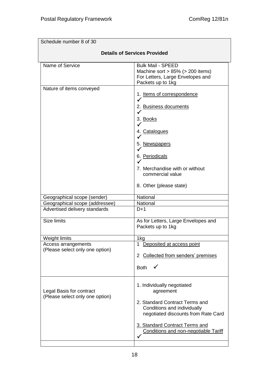| Schedule number 8 of 30                                                 |                                                                                                                                                                                                                           |  |
|-------------------------------------------------------------------------|---------------------------------------------------------------------------------------------------------------------------------------------------------------------------------------------------------------------------|--|
| <b>Details of Services Provided</b>                                     |                                                                                                                                                                                                                           |  |
| Name of Service                                                         | <b>Bulk Mail - SPEED</b><br>Machine sort $> 85\%$ ( $> 200$ items)<br>For Letters, Large Envelopes and<br>Packets up to 1kg                                                                                               |  |
| Nature of items conveyed                                                | 1. Items of correspondence<br>2. Business documents<br>$\checkmark$<br>3. Books<br>4. Catalogues<br>5. Newspapers<br>6. Periodicals<br>7. Merchandise with or without<br>commercial value<br>8. Other (please state)      |  |
| Geographical scope (sender)                                             | National                                                                                                                                                                                                                  |  |
| Geographical scope (addressee)                                          | National                                                                                                                                                                                                                  |  |
| Advertised delivery standards                                           | $D+1$                                                                                                                                                                                                                     |  |
| <b>Size limits</b>                                                      | As for Letters, Large Envelopes and<br>Packets up to 1kg                                                                                                                                                                  |  |
| Weight limits<br>Access arrangements<br>(Please select only one option) | 1kg<br>Deposited at access point<br>1<br>2 Collected from senders' premises<br><b>Both</b>                                                                                                                                |  |
| Legal Basis for contract<br>(Please select only one option)             | 1. Individually negotiated<br>agreement<br>2. Standard Contract Terms and<br>Conditions and individually<br>negotiated discounts from Rate Card<br>3. Standard Contract Terms and<br>Conditions and non-negotiable Tariff |  |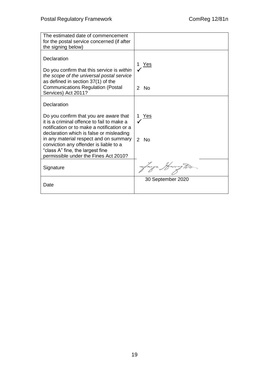| The estimated date of commencement<br>for the postal service concerned (if after<br>the signing below)                                                                                                                                                                                                                                                          |                    |
|-----------------------------------------------------------------------------------------------------------------------------------------------------------------------------------------------------------------------------------------------------------------------------------------------------------------------------------------------------------------|--------------------|
| Declaration<br>Do you confirm that this service is within<br>the scope of the universal postal service<br>as defined in section 37(1) of the<br><b>Communications Regulation (Postal</b><br>Services) Act 2011?                                                                                                                                                 | <u>Yes</u><br>2 No |
| Declaration<br>Do you confirm that you are aware that<br>it is a criminal offence to fail to make a<br>notification or to make a notification or a<br>declaration which is false or misleading<br>in any material respect and on summary<br>conviction any offender is liable to a<br>"class A" fine, the largest fine<br>permissible under the Fines Act 2010? | Yes<br>$2$ No      |
| Signature                                                                                                                                                                                                                                                                                                                                                       |                    |
| Date                                                                                                                                                                                                                                                                                                                                                            | 30 September 2020  |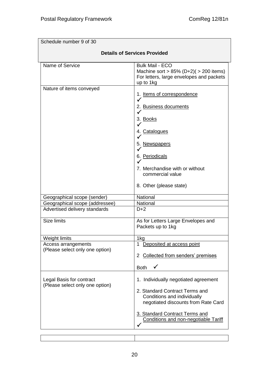| Schedule number 9 of 30                                                 |                                                                                                                                                                                                                        |  |
|-------------------------------------------------------------------------|------------------------------------------------------------------------------------------------------------------------------------------------------------------------------------------------------------------------|--|
| <b>Details of Services Provided</b>                                     |                                                                                                                                                                                                                        |  |
| Name of Service                                                         | <b>Bulk Mail - ECO</b><br>Machine sort > $85\%$ (D+2)( > 200 items)<br>For letters, large envelopes and packets<br>up to 1kg                                                                                           |  |
| Nature of items conveyed                                                | 1. Items of correspondence<br>2. Business documents<br>$\checkmark$<br>3. Books<br>4. Catalogues<br>5. Newspapers<br>6. Periodicals<br>7. Merchandise with or without<br>commercial value<br>8. Other (please state)   |  |
| Geographical scope (sender)                                             | National                                                                                                                                                                                                               |  |
| Geographical scope (addressee)                                          | National                                                                                                                                                                                                               |  |
| Advertised delivery standards                                           | $D+2$                                                                                                                                                                                                                  |  |
| <b>Size limits</b>                                                      | As for Letters Large Envelopes and<br>Packets up to 1kg                                                                                                                                                                |  |
| Weight limits<br>Access arrangements<br>(Please select only one option) | 1kg<br>Deposited at access point<br>1<br>2 Collected from senders' premises<br><b>Both</b>                                                                                                                             |  |
| Legal Basis for contract<br>(Please select only one option)             | 1. Individually negotiated agreement<br>2. Standard Contract Terms and<br>Conditions and individually<br>negotiated discounts from Rate Card<br>3. Standard Contract Terms and<br>Conditions and non-negotiable Tariff |  |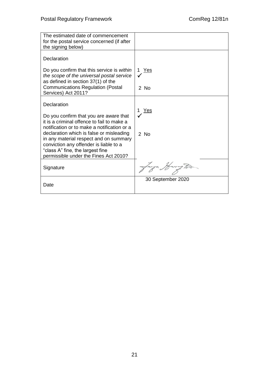| The estimated date of commencement<br>for the postal service concerned (if after<br>the signing below)                              |                   |
|-------------------------------------------------------------------------------------------------------------------------------------|-------------------|
| Declaration                                                                                                                         |                   |
| Do you confirm that this service is within<br>the scope of the universal postal service                                             | 1 Yes             |
| as defined in section 37(1) of the<br><b>Communications Regulation (Postal</b><br>Services) Act 2011?                               | 2 No              |
| Declaration                                                                                                                         | Yes               |
| Do you confirm that you are aware that<br>it is a criminal offence to fail to make a<br>notification or to make a notification or a |                   |
| declaration which is false or misleading<br>in any material respect and on summary                                                  | $2$ No            |
| conviction any offender is liable to a<br>"class A" fine, the largest fine<br>permissible under the Fines Act 2010?                 |                   |
| Signature                                                                                                                           | anya Harrug To-   |
| Date                                                                                                                                | 30 September 2020 |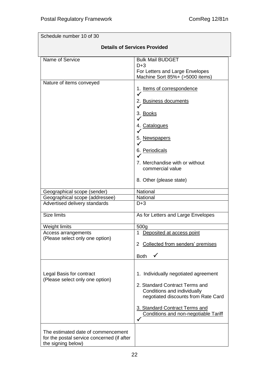| Schedule number 10 of 30                                                                               |                                                                                                                                                                                                                        |  |
|--------------------------------------------------------------------------------------------------------|------------------------------------------------------------------------------------------------------------------------------------------------------------------------------------------------------------------------|--|
| <b>Details of Services Provided</b>                                                                    |                                                                                                                                                                                                                        |  |
| Name of Service                                                                                        | <b>Bulk Mail BUDGET</b><br>$D+3$<br>For Letters and Large Envelopes<br>Machine Sort 85%+ (>5000 items)                                                                                                                 |  |
| Nature of items conveyed                                                                               | 1. Items of correspondence<br>2. Business documents<br>3. Books<br>✓<br>4. Catalogues<br>5. Newspapers<br>✓<br>6. Periodicals<br>7. Merchandise with or without<br>commercial value<br>8. Other (please state)         |  |
| Geographical scope (sender)                                                                            | National                                                                                                                                                                                                               |  |
| Geographical scope (addressee)<br>Advertised delivery standards                                        | National<br>$D+3$                                                                                                                                                                                                      |  |
| <b>Size limits</b>                                                                                     | As for Letters and Large Envelopes                                                                                                                                                                                     |  |
| Weight limits<br>Access arrangements<br>(Please select only one option)                                | 500g<br>1 Deposited at access point<br>2 Collected from senders' premises<br><b>Both</b>                                                                                                                               |  |
| Legal Basis for contract<br>(Please select only one option)                                            | 1. Individually negotiated agreement<br>2. Standard Contract Terms and<br>Conditions and individually<br>negotiated discounts from Rate Card<br>3. Standard Contract Terms and<br>Conditions and non-negotiable Tariff |  |
| The estimated date of commencement<br>for the postal service concerned (if after<br>the signing below) |                                                                                                                                                                                                                        |  |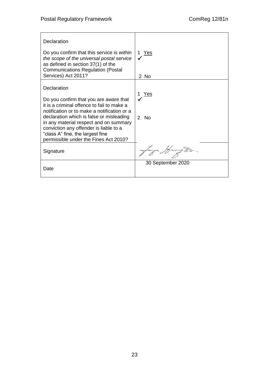| Declaration                                                                                                                                                                                                                                                                                                                                                     |                             |
|-----------------------------------------------------------------------------------------------------------------------------------------------------------------------------------------------------------------------------------------------------------------------------------------------------------------------------------------------------------------|-----------------------------|
| Do you confirm that this service is within<br>the scope of the universal postal service<br>as defined in section 37(1) of the<br><b>Communications Regulation (Postal</b>                                                                                                                                                                                       | Yes<br>1                    |
| Services) Act 2011?                                                                                                                                                                                                                                                                                                                                             | 2 No                        |
| Declaration<br>Do you confirm that you are aware that<br>it is a criminal offence to fail to make a<br>notification or to make a notification or a<br>declaration which is false or misleading<br>in any material respect and on summary<br>conviction any offender is liable to a<br>"class A" fine, the largest fine<br>permissible under the Fines Act 2010? | Yes<br>No.<br>$\mathcal{P}$ |
| Signature                                                                                                                                                                                                                                                                                                                                                       | Lanya Harrug To.            |
| Date                                                                                                                                                                                                                                                                                                                                                            | 30 September 2020           |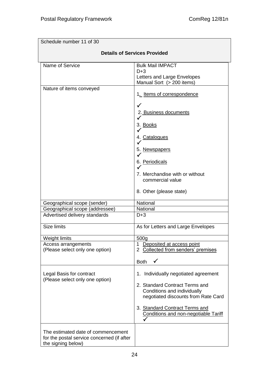| Schedule number 11 of 30                                                                               |                                                                                                                                                                                                                        |  |
|--------------------------------------------------------------------------------------------------------|------------------------------------------------------------------------------------------------------------------------------------------------------------------------------------------------------------------------|--|
| <b>Details of Services Provided</b>                                                                    |                                                                                                                                                                                                                        |  |
| Name of Service                                                                                        | <b>Bulk Mail IMPACT</b><br>$D+3$<br>Letters and Large Envelopes<br>Manual Sort (> 200 items)                                                                                                                           |  |
| Nature of items conveyed                                                                               | 1. Items of correspondence<br>$\checkmark$<br>2. Business documents<br>3. Books<br>4. Catalogues                                                                                                                       |  |
|                                                                                                        | 5. Newspapers<br>$\checkmark$<br>6. Periodicals<br>7. Merchandise with or without<br>commercial value<br>8. Other (please state)                                                                                       |  |
| Geographical scope (sender)                                                                            | National                                                                                                                                                                                                               |  |
| Geographical scope (addressee)                                                                         | National                                                                                                                                                                                                               |  |
| Advertised delivery standards                                                                          | $D+3$                                                                                                                                                                                                                  |  |
| Size limits                                                                                            | As for Letters and Large Envelopes                                                                                                                                                                                     |  |
| Weight limits                                                                                          | 500 <sub>g</sub>                                                                                                                                                                                                       |  |
| Access arrangements<br>(Please select only one option)                                                 | Deposited at access point<br>1<br>2 Collected from senders' premises                                                                                                                                                   |  |
|                                                                                                        | <b>Both</b>                                                                                                                                                                                                            |  |
| Legal Basis for contract<br>(Please select only one option)                                            | 1. Individually negotiated agreement<br>2. Standard Contract Terms and<br>Conditions and individually<br>negotiated discounts from Rate Card<br>3. Standard Contract Terms and<br>Conditions and non-negotiable Tariff |  |
| The estimated date of commencement<br>for the postal service concerned (if after<br>the signing below) |                                                                                                                                                                                                                        |  |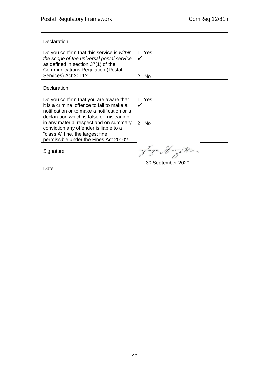| Declaration                                                                                                                                                                                      |                                  |
|--------------------------------------------------------------------------------------------------------------------------------------------------------------------------------------------------|----------------------------------|
| Do you confirm that this service is within<br>the scope of the universal postal service<br>as defined in section 37(1) of the<br><b>Communications Regulation (Postal</b><br>Services) Act 2011? | Yes<br>1.<br>$\mathcal{P}$<br>No |
| Declaration                                                                                                                                                                                      |                                  |
|                                                                                                                                                                                                  |                                  |
| Do you confirm that you are aware that<br>it is a criminal offence to fail to make a                                                                                                             | <u>Yes</u>                       |
| notification or to make a notification or a                                                                                                                                                      |                                  |
| declaration which is false or misleading<br>in any material respect and on summary                                                                                                               | $\mathcal{P}$<br><b>No</b>       |
| conviction any offender is liable to a                                                                                                                                                           |                                  |
| "class A" fine, the largest fine<br>permissible under the Fines Act 2010?                                                                                                                        |                                  |
| Signature                                                                                                                                                                                        | Lanza Harry To.                  |
| Date                                                                                                                                                                                             | 30 September 2020                |
|                                                                                                                                                                                                  |                                  |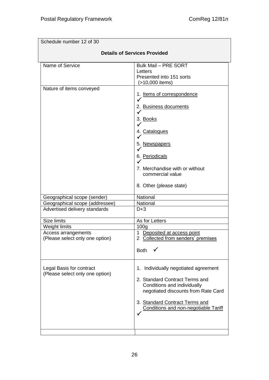| Schedule number 12 of 30                                    |                                                                                                                                                                                                                        |  |
|-------------------------------------------------------------|------------------------------------------------------------------------------------------------------------------------------------------------------------------------------------------------------------------------|--|
| <b>Details of Services Provided</b>                         |                                                                                                                                                                                                                        |  |
| Name of Service                                             | <b>Bulk Mail - PRE SORT</b><br>Letters<br>Presented into 151 sorts<br>(>10,000 items)                                                                                                                                  |  |
| Nature of items conveyed                                    | 1. Items of correspondence<br>2. Business documents<br>$\checkmark$<br>3. Books<br>4. Catalogues<br>5. Newspapers<br>6. Periodicals<br>7. Merchandise with or without<br>commercial value<br>8. Other (please state)   |  |
| Geographical scope (sender)                                 | National                                                                                                                                                                                                               |  |
| Geographical scope (addressee)                              | National                                                                                                                                                                                                               |  |
| Advertised delivery standards                               | $D+3$                                                                                                                                                                                                                  |  |
| <b>Size limits</b>                                          | As for Letters                                                                                                                                                                                                         |  |
| Weight limits                                               | 100 <sub>g</sub>                                                                                                                                                                                                       |  |
| Access arrangements<br>(Please select only one option)      | 1 Deposited at access point<br>2 Collected from senders' premises                                                                                                                                                      |  |
|                                                             | <b>Both</b>                                                                                                                                                                                                            |  |
| Legal Basis for contract<br>(Please select only one option) | 1. Individually negotiated agreement<br>2. Standard Contract Terms and<br>Conditions and individually<br>negotiated discounts from Rate Card<br>3. Standard Contract Terms and<br>Conditions and non-negotiable Tariff |  |
|                                                             |                                                                                                                                                                                                                        |  |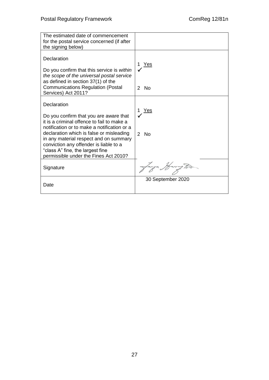| The estimated date of commencement<br>for the postal service concerned (if after<br>the signing below)                                                                                                                                                                                                                                                          |                                        |
|-----------------------------------------------------------------------------------------------------------------------------------------------------------------------------------------------------------------------------------------------------------------------------------------------------------------------------------------------------------------|----------------------------------------|
| Declaration<br>Do you confirm that this service is within<br>the scope of the universal postal service<br>as defined in section 37(1) of the<br><b>Communications Regulation (Postal</b><br>Services) Act 2011?                                                                                                                                                 | Yes<br>2 No                            |
| Declaration<br>Do you confirm that you are aware that<br>it is a criminal offence to fail to make a<br>notification or to make a notification or a<br>declaration which is false or misleading<br>in any material respect and on summary<br>conviction any offender is liable to a<br>"class A" fine, the largest fine<br>permissible under the Fines Act 2010? | Yes<br>N <sub>0</sub><br>$\mathcal{P}$ |
| Signature                                                                                                                                                                                                                                                                                                                                                       | langa Harry Ton                        |
| Date                                                                                                                                                                                                                                                                                                                                                            | 30 September 2020                      |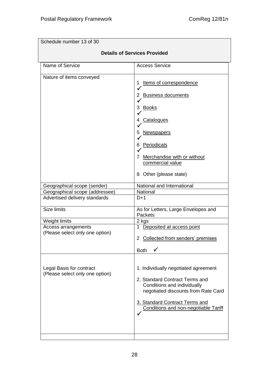| Schedule number 13 of 30                                    |                                                                                                                                                                                                                               |  |
|-------------------------------------------------------------|-------------------------------------------------------------------------------------------------------------------------------------------------------------------------------------------------------------------------------|--|
| <b>Details of Services Provided</b>                         |                                                                                                                                                                                                                               |  |
| Name of Service                                             | <b>Access Service</b>                                                                                                                                                                                                         |  |
| Nature of items conveyed                                    | Items of correspondence<br>1<br>2 Business documents<br>✓<br>3 Books<br>4 Catalogues<br>5 Newspapers<br><b>Periodicals</b><br>6.<br>Merchandise with or without<br>7<br>commercial value<br>8 Other (please state)            |  |
| Geographical scope (sender)                                 | National and International                                                                                                                                                                                                    |  |
| Geographical scope (addressee)                              | National                                                                                                                                                                                                                      |  |
| Advertised delivery standards                               | $D+1$                                                                                                                                                                                                                         |  |
| Size limits                                                 | As for Letters, Large Envelopes and<br><b>Packets</b>                                                                                                                                                                         |  |
| Weight limits                                               | 2 kgs                                                                                                                                                                                                                         |  |
| Access arrangements                                         | 1 Deposited at access point                                                                                                                                                                                                   |  |
| (Please select only one option)                             | 2 Collected from senders' premises                                                                                                                                                                                            |  |
|                                                             | <b>Both</b>                                                                                                                                                                                                                   |  |
| Legal Basis for contract<br>(Please select only one option) | 1. Individually negotiated agreement<br>2. Standard Contract Terms and<br>Conditions and individually<br>negotiated discounts from Rate Card<br>3. Standard Contract Terms and<br><b>Conditions and non-negotiable Tariff</b> |  |
|                                                             |                                                                                                                                                                                                                               |  |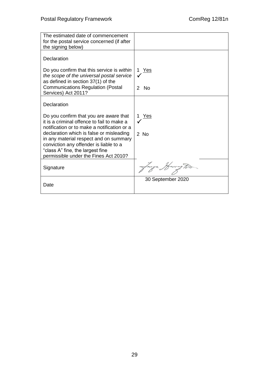| The estimated date of commencement<br>for the postal service concerned (if after<br>the signing below)                              |                   |
|-------------------------------------------------------------------------------------------------------------------------------------|-------------------|
| Declaration                                                                                                                         |                   |
| Do you confirm that this service is within<br>the scope of the universal postal service                                             | 1 Yes             |
| as defined in section 37(1) of the<br><b>Communications Regulation (Postal</b><br>Services) Act 2011?                               | $2$ No            |
| Declaration                                                                                                                         |                   |
| Do you confirm that you are aware that<br>it is a criminal offence to fail to make a<br>notification or to make a notification or a | 1 Yes             |
| declaration which is false or misleading<br>in any material respect and on summary                                                  | 2 No              |
| conviction any offender is liable to a<br>"class A" fine, the largest fine<br>permissible under the Fines Act 2010?                 |                   |
| Signature                                                                                                                           | anya Harrug Po-   |
| Date                                                                                                                                | 30 September 2020 |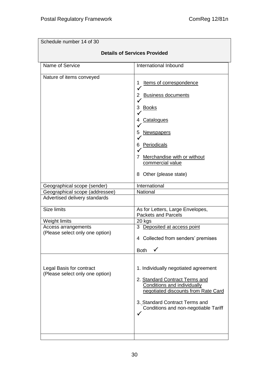| <b>Details of Services Provided</b><br>International Inbound                                                                                                                                                                                 |
|----------------------------------------------------------------------------------------------------------------------------------------------------------------------------------------------------------------------------------------------|
|                                                                                                                                                                                                                                              |
|                                                                                                                                                                                                                                              |
| Items of correspondence<br><b>Business documents</b><br>Books<br><b>Catalogues</b><br><u>Newspapers</u><br><b>Periodicals</b><br>Merchandise with or without<br>commercial value<br>8 Other (please state)                                   |
| International                                                                                                                                                                                                                                |
| National                                                                                                                                                                                                                                     |
|                                                                                                                                                                                                                                              |
| As for Letters, Large Envelopes,<br><b>Packets and Parcels</b>                                                                                                                                                                               |
| 20 kgs                                                                                                                                                                                                                                       |
| 3 Deposited at access point<br>4 Collected from senders' premises                                                                                                                                                                            |
| <b>Both</b><br>1. Individually negotiated agreement<br>2. Standard Contract Terms and<br><b>Conditions and individually</b><br>negotiated discounts from Rate Card<br>3. Standard Contract Terms and<br>Conditions and non-negotiable Tariff |
|                                                                                                                                                                                                                                              |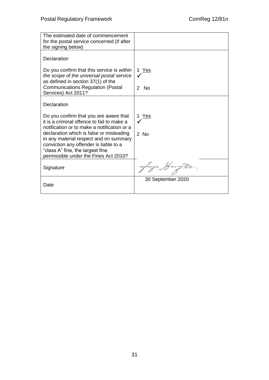| The estimated date of commencement<br>for the postal service concerned (if after<br>the signing below)                              |                   |
|-------------------------------------------------------------------------------------------------------------------------------------|-------------------|
| Declaration                                                                                                                         |                   |
| Do you confirm that this service is within<br>the scope of the universal postal service                                             | 1 Yes             |
| as defined in section 37(1) of the<br><b>Communications Regulation (Postal</b><br>Services) Act 2011?                               | $2$ No            |
| Declaration                                                                                                                         |                   |
| Do you confirm that you are aware that<br>it is a criminal offence to fail to make a<br>notification or to make a notification or a | Yes               |
| declaration which is false or misleading<br>in any material respect and on summary                                                  | $2$ No            |
| conviction any offender is liable to a<br>"class A" fine, the largest fine<br>permissible under the Fines Act 2010?                 |                   |
| Signature                                                                                                                           |                   |
| Date                                                                                                                                | 30 September 2020 |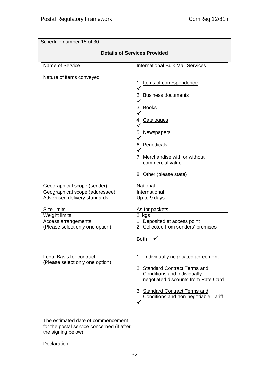| Schedule number 15 of 30                                                                               |                                                                                                                                                                                                                               |  |
|--------------------------------------------------------------------------------------------------------|-------------------------------------------------------------------------------------------------------------------------------------------------------------------------------------------------------------------------------|--|
| <b>Details of Services Provided</b>                                                                    |                                                                                                                                                                                                                               |  |
| Name of Service                                                                                        | <b>International Bulk Mail Services</b>                                                                                                                                                                                       |  |
| Nature of items conveyed                                                                               | Items of correspondence<br>2 Business documents<br>Books<br>3<br>Catalogues<br>4<br><b>Newspapers</b><br>5<br><b>Periodicals</b><br>6<br>Merchandise with or without<br>7<br>commercial value<br>8 Other (please state)       |  |
| Geographical scope (sender)<br>Geographical scope (addressee)<br>Advertised delivery standards         | National<br>International<br>Up to 9 days                                                                                                                                                                                     |  |
| Size limits<br>Weight limits<br>Access arrangements<br>(Please select only one option)                 | As for packets<br>2 kgs<br>1 Deposited at access point<br>2 Collected from senders' premises<br><b>Both</b><br>✔                                                                                                              |  |
| Legal Basis for contract<br>(Please select only one option)                                            | 1. Individually negotiated agreement<br>2. Standard Contract Terms and<br>Conditions and individually<br>negotiated discounts from Rate Card<br>3. Standard Contract Terms and<br><b>Conditions and non-negotiable Tariff</b> |  |
| The estimated date of commencement<br>for the postal service concerned (if after<br>the signing below) |                                                                                                                                                                                                                               |  |
| Declaration                                                                                            |                                                                                                                                                                                                                               |  |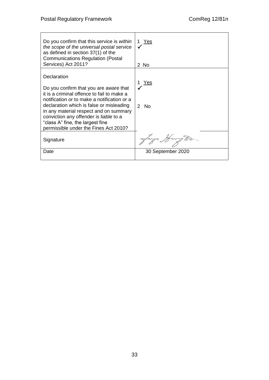| Do you confirm that this service is within<br>the scope of the universal postal service<br>as defined in section 37(1) of the<br><b>Communications Regulation (Postal</b><br>Services) Act 2011?                                                                                                                                                                | <u>Yes</u><br>2 No           |
|-----------------------------------------------------------------------------------------------------------------------------------------------------------------------------------------------------------------------------------------------------------------------------------------------------------------------------------------------------------------|------------------------------|
| Declaration<br>Do you confirm that you are aware that<br>it is a criminal offence to fail to make a<br>notification or to make a notification or a<br>declaration which is false or misleading<br>in any material respect and on summary<br>conviction any offender is liable to a<br>"class A" fine, the largest fine<br>permissible under the Fines Act 2010? | Yes<br>- No<br>$\mathcal{P}$ |
| Signature                                                                                                                                                                                                                                                                                                                                                       |                              |
| Date                                                                                                                                                                                                                                                                                                                                                            | 30 September 2020            |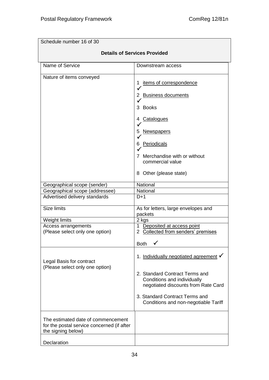| Schedule number 16 of 30                                                                               |                                                                                                                                                                                                                                     |  |
|--------------------------------------------------------------------------------------------------------|-------------------------------------------------------------------------------------------------------------------------------------------------------------------------------------------------------------------------------------|--|
| <b>Details of Services Provided</b>                                                                    |                                                                                                                                                                                                                                     |  |
| Name of Service                                                                                        | Downstream access                                                                                                                                                                                                                   |  |
| Nature of items conveyed                                                                               | items of correspondence<br>2 Business documents<br>3 Books<br><b>Catalogues</b><br>4<br><b>Newspapers</b><br>5<br>Periodicals<br>6.<br>Merchandise with or without<br>commercial value<br>8 Other (please state)                    |  |
| Geographical scope (sender)                                                                            | National                                                                                                                                                                                                                            |  |
| Geographical scope (addressee)                                                                         | National                                                                                                                                                                                                                            |  |
| Advertised delivery standards                                                                          | $D+1$                                                                                                                                                                                                                               |  |
| <b>Size limits</b>                                                                                     | As for letters, large envelopes and<br>packets                                                                                                                                                                                      |  |
| Weight limits                                                                                          | 2 kgs                                                                                                                                                                                                                               |  |
| Access arrangements<br>(Please select only one option)                                                 | 1 Deposited at access point<br>2 Collected from senders' premises<br>╭<br><b>Both</b><br>√                                                                                                                                          |  |
| Legal Basis for contract<br>(Please select only one option)                                            | 1. Individually negotiated agreement $\checkmark$<br>2. Standard Contract Terms and<br>Conditions and individually<br>negotiated discounts from Rate Card<br>3. Standard Contract Terms and<br>Conditions and non-negotiable Tariff |  |
| The estimated date of commencement<br>for the postal service concerned (if after<br>the signing below) |                                                                                                                                                                                                                                     |  |
| Declaration                                                                                            |                                                                                                                                                                                                                                     |  |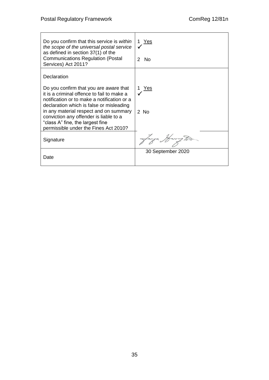| Do you confirm that this service is within<br>the scope of the universal postal service<br>as defined in section 37(1) of the<br><b>Communications Regulation (Postal</b><br>Services) Act 2011?                                                                                                                                                                | 1 Yes<br>No.<br>$\mathcal{P}$ |
|-----------------------------------------------------------------------------------------------------------------------------------------------------------------------------------------------------------------------------------------------------------------------------------------------------------------------------------------------------------------|-------------------------------|
| Declaration<br>Do you confirm that you are aware that<br>it is a criminal offence to fail to make a<br>notification or to make a notification or a<br>declaration which is false or misleading<br>in any material respect and on summary<br>conviction any offender is liable to a<br>"class A" fine, the largest fine<br>permissible under the Fines Act 2010? | Yes<br>2 No                   |
| Signature                                                                                                                                                                                                                                                                                                                                                       | Janya Harrug To-              |
| Date                                                                                                                                                                                                                                                                                                                                                            | 30 September 2020             |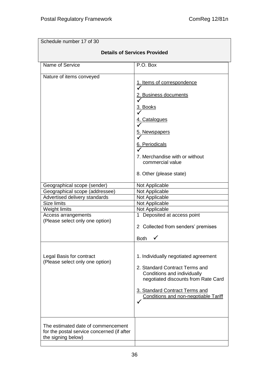| Schedule number 17 of 30                                                                                                                                                                 |                                                                                                                                                                                                                        |  |
|------------------------------------------------------------------------------------------------------------------------------------------------------------------------------------------|------------------------------------------------------------------------------------------------------------------------------------------------------------------------------------------------------------------------|--|
| <b>Details of Services Provided</b>                                                                                                                                                      |                                                                                                                                                                                                                        |  |
| Name of Service                                                                                                                                                                          | P.O. Box                                                                                                                                                                                                               |  |
| Nature of items conveyed                                                                                                                                                                 | 1. Items of correspondence<br>2. Business documents<br><u>3. Books</u><br><u>4. Catalogues</u><br>5. Newspapers<br>6. Periodicals<br>7. Merchandise with or without<br>commercial value<br>8. Other (please state)     |  |
| Geographical scope (sender)<br>Geographical scope (addressee)<br>Advertised delivery standards<br>Size limits<br>Weight limits<br>Access arrangements<br>(Please select only one option) | Not Applicable<br>Not Applicable<br>Not Applicable<br>Not Applicable<br>Not Applicable<br>1 Deposited at access point<br>2 Collected from senders' premises<br><b>Both</b>                                             |  |
| Legal Basis for contract<br>(Please select only one option)                                                                                                                              | 1. Individually negotiated agreement<br>2. Standard Contract Terms and<br>Conditions and individually<br>negotiated discounts from Rate Card<br>3. Standard Contract Terms and<br>Conditions and non-negotiable Tariff |  |
| The estimated date of commencement<br>for the postal service concerned (if after<br>the signing below)                                                                                   |                                                                                                                                                                                                                        |  |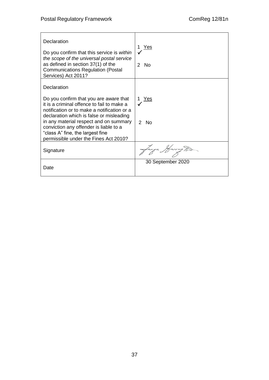| Declaration<br>Do you confirm that this service is within<br>the scope of the universal postal service<br>as defined in section 37(1) of the<br><b>Communications Regulation (Postal</b><br>Services) Act 2011?                                                                                                                                                 | Yes<br>$\mathcal{P}$<br><b>No</b> |
|-----------------------------------------------------------------------------------------------------------------------------------------------------------------------------------------------------------------------------------------------------------------------------------------------------------------------------------------------------------------|-----------------------------------|
| Declaration<br>Do you confirm that you are aware that<br>it is a criminal offence to fail to make a<br>notification or to make a notification or a<br>declaration which is false or misleading<br>in any material respect and on summary<br>conviction any offender is liable to a<br>"class A" fine, the largest fine<br>permissible under the Fines Act 2010? | Yes<br>$\mathcal{P}$<br>- No      |
| Signature                                                                                                                                                                                                                                                                                                                                                       |                                   |
| Date                                                                                                                                                                                                                                                                                                                                                            | 30 September 2020                 |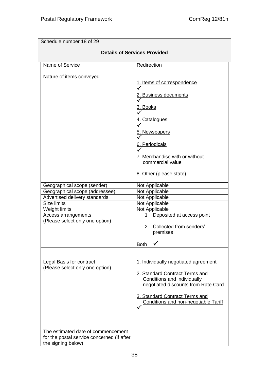'n

| Schedule number 18 of 29                                                                                                                                                                 |                                                                                                                                                                                                                               |  |
|------------------------------------------------------------------------------------------------------------------------------------------------------------------------------------------|-------------------------------------------------------------------------------------------------------------------------------------------------------------------------------------------------------------------------------|--|
| <b>Details of Services Provided</b>                                                                                                                                                      |                                                                                                                                                                                                                               |  |
| Name of Service                                                                                                                                                                          | Redirection                                                                                                                                                                                                                   |  |
| Nature of items conveyed                                                                                                                                                                 | 1. Items of correspondence<br>2. Business documents<br><u>Books</u><br><b>Catalogues</b><br>5. Newspapers<br>6. Periodicals<br>7. Merchandise with or without<br>commercial value<br>8. Other (please state)                  |  |
| Geographical scope (sender)<br>Geographical scope (addressee)<br>Advertised delivery standards<br>Size limits<br>Weight limits<br>Access arrangements<br>(Please select only one option) | Not Applicable<br>Not Applicable<br>Not Applicable<br>Not Applicable<br>Not Applicable<br>Deposited at access point<br>1.<br>Collected from senders'<br>$\overline{2}$<br>premises<br><b>Both</b>                             |  |
| Legal Basis for contract<br>(Please select only one option)                                                                                                                              | 1. Individually negotiated agreement<br>2. Standard Contract Terms and<br>Conditions and individually<br>negotiated discounts from Rate Card<br>3. Standard Contract Terms and<br><b>Conditions and non-negotiable Tariff</b> |  |
| The estimated date of commencement<br>for the postal service concerned (if after<br>the signing below)                                                                                   |                                                                                                                                                                                                                               |  |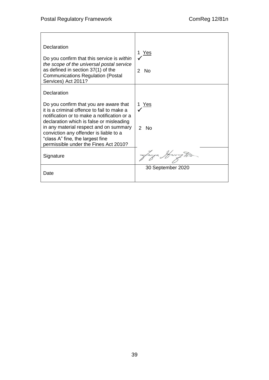| Declaration<br>Do you confirm that this service is within<br>the scope of the universal postal service<br>as defined in section 37(1) of the<br><b>Communications Regulation (Postal</b><br>Services) Act 2011?                                                                                                                                                 | <u>Yes</u><br>$\mathcal{P}$<br><b>No</b> |
|-----------------------------------------------------------------------------------------------------------------------------------------------------------------------------------------------------------------------------------------------------------------------------------------------------------------------------------------------------------------|------------------------------------------|
| Declaration<br>Do you confirm that you are aware that<br>it is a criminal offence to fail to make a<br>notification or to make a notification or a<br>declaration which is false or misleading<br>in any material respect and on summary<br>conviction any offender is liable to a<br>"class A" fine, the largest fine<br>permissible under the Fines Act 2010? | Yes<br>1.<br>$\mathcal{P}$<br>- No       |
| Signature                                                                                                                                                                                                                                                                                                                                                       | lanza Harry To-                          |
| Date                                                                                                                                                                                                                                                                                                                                                            | 30 September 2020                        |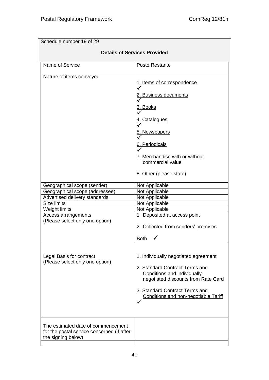| Schedule number 19 of 29                                                                                                                                                                 |                                                                                                                                                                                                                               |  |
|------------------------------------------------------------------------------------------------------------------------------------------------------------------------------------------|-------------------------------------------------------------------------------------------------------------------------------------------------------------------------------------------------------------------------------|--|
| <b>Details of Services Provided</b>                                                                                                                                                      |                                                                                                                                                                                                                               |  |
| Name of Service                                                                                                                                                                          | <b>Poste Restante</b>                                                                                                                                                                                                         |  |
| Nature of items conveyed                                                                                                                                                                 | 1. Items of correspondence<br>2. Business documents<br><u>3. Books</u><br><b>Catalogues</b><br>5. Newspapers<br>6. Periodicals<br>7. Merchandise with or without<br>commercial value<br>8. Other (please state)               |  |
| Geographical scope (sender)<br>Geographical scope (addressee)<br>Advertised delivery standards<br>Size limits<br>Weight limits<br>Access arrangements<br>(Please select only one option) | Not Applicable<br>Not Applicable<br>Not Applicable<br>Not Applicable<br>Not Applicable<br>1 Deposited at access point<br>2 Collected from senders' premises<br><b>Both</b>                                                    |  |
| Legal Basis for contract<br>(Please select only one option)                                                                                                                              | 1. Individually negotiated agreement<br>2. Standard Contract Terms and<br>Conditions and individually<br>negotiated discounts from Rate Card<br>3. Standard Contract Terms and<br><b>Conditions and non-negotiable Tariff</b> |  |
| The estimated date of commencement<br>for the postal service concerned (if after<br>the signing below)                                                                                   |                                                                                                                                                                                                                               |  |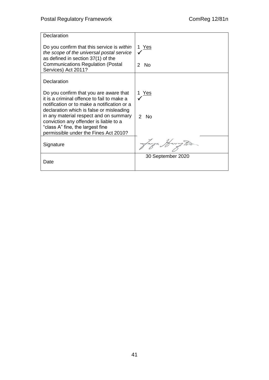| Declaration                                                                                                                                                                     |                                |
|---------------------------------------------------------------------------------------------------------------------------------------------------------------------------------|--------------------------------|
| Do you confirm that this service is within<br>the scope of the universal postal service<br>as defined in section 37(1) of the<br><b>Communications Regulation (Postal</b>       | 1 Yes<br>- No<br>$\mathcal{P}$ |
| Services) Act 2011?                                                                                                                                                             |                                |
| Declaration                                                                                                                                                                     |                                |
| Do you confirm that you are aware that<br>it is a criminal offence to fail to make a<br>notification or to make a notification or a<br>declaration which is false or misleading | Yes                            |
| in any material respect and on summary<br>conviction any offender is liable to a<br>"class A" fine, the largest fine<br>permissible under the Fines Act 2010?                   | $\mathcal{P}$<br><b>No</b>     |
| Signature                                                                                                                                                                       |                                |
| Date                                                                                                                                                                            | 30 September 2020              |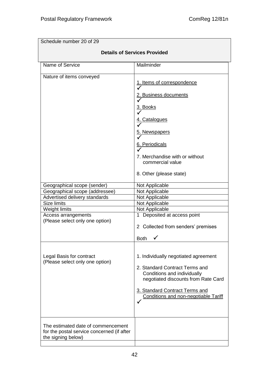| Schedule number 20 of 29                                                                                                                                                                 |                                                                                                                                                                                                                        |  |
|------------------------------------------------------------------------------------------------------------------------------------------------------------------------------------------|------------------------------------------------------------------------------------------------------------------------------------------------------------------------------------------------------------------------|--|
| <b>Details of Services Provided</b>                                                                                                                                                      |                                                                                                                                                                                                                        |  |
| Name of Service                                                                                                                                                                          | Mailminder                                                                                                                                                                                                             |  |
| Nature of items conveyed                                                                                                                                                                 | 1. Items of correspondence<br>2. Business documents<br><u>Books</u><br><u>4. Catalogues</u><br>5. Newspapers<br>6. Periodicals<br>7. Merchandise with or without<br>commercial value<br>8. Other (please state)        |  |
| Geographical scope (sender)<br>Geographical scope (addressee)<br>Advertised delivery standards<br>Size limits<br>Weight limits<br>Access arrangements<br>(Please select only one option) | Not Applicable<br>Not Applicable<br>Not Applicable<br>Not Applicable<br>Not Applicable<br>1 Deposited at access point<br>2 Collected from senders' premises<br><b>Both</b>                                             |  |
| Legal Basis for contract<br>(Please select only one option)                                                                                                                              | 1. Individually negotiated agreement<br>2. Standard Contract Terms and<br>Conditions and individually<br>negotiated discounts from Rate Card<br>3. Standard Contract Terms and<br>Conditions and non-negotiable Tariff |  |
| The estimated date of commencement<br>for the postal service concerned (if after<br>the signing below)                                                                                   |                                                                                                                                                                                                                        |  |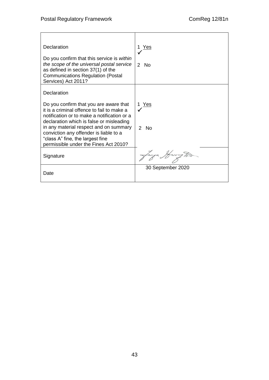| Declaration<br>Do you confirm that this service is within<br>the scope of the universal postal service<br>as defined in section 37(1) of the<br><b>Communications Regulation (Postal</b><br>Services) Act 2011?                                                                                                                                                 | Yes<br><b>No</b><br>$\mathcal{P}$       |
|-----------------------------------------------------------------------------------------------------------------------------------------------------------------------------------------------------------------------------------------------------------------------------------------------------------------------------------------------------------------|-----------------------------------------|
| Declaration<br>Do you confirm that you are aware that<br>it is a criminal offence to fail to make a<br>notification or to make a notification or a<br>declaration which is false or misleading<br>in any material respect and on summary<br>conviction any offender is liable to a<br>"class A" fine, the largest fine<br>permissible under the Fines Act 2010? | Yes<br>1.<br><b>No</b><br>$\mathcal{P}$ |
| Signature                                                                                                                                                                                                                                                                                                                                                       |                                         |
| Date                                                                                                                                                                                                                                                                                                                                                            | 30 September 2020                       |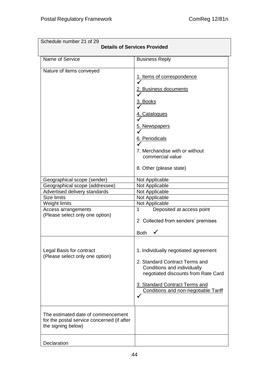| Schedule number 21 of 29<br><b>Details of Services Provided</b>                                                                                                                          |                                                                                                                                                                                                                               |  |
|------------------------------------------------------------------------------------------------------------------------------------------------------------------------------------------|-------------------------------------------------------------------------------------------------------------------------------------------------------------------------------------------------------------------------------|--|
| Name of Service                                                                                                                                                                          | <b>Business Reply</b>                                                                                                                                                                                                         |  |
| Nature of items conveyed                                                                                                                                                                 | 1. Items of correspondence                                                                                                                                                                                                    |  |
|                                                                                                                                                                                          | 2. Business documents<br>3. Books<br>4. Catalogues<br>5. Newspapers<br>6. Periodicals<br>7. Merchandise with or without<br>commercial value                                                                                   |  |
| Geographical scope (sender)<br>Geographical scope (addressee)<br>Advertised delivery standards<br>Size limits<br>Weight limits<br>Access arrangements<br>(Please select only one option) | 8. Other (please state)<br>Not Applicable<br>Not Applicable<br>Not Applicable<br>Not Applicable<br>Not Applicable<br>1<br>Deposited at access point<br>2 Collected from senders' premises<br><b>Both</b>                      |  |
| Legal Basis for contract<br>(Please select only one option)                                                                                                                              | 1. Individually negotiated agreement<br>2. Standard Contract Terms and<br>Conditions and individually<br>negotiated discounts from Rate Card<br>3. Standard Contract Terms and<br><b>Conditions and non-negotiable Tariff</b> |  |
| The estimated date of commencement<br>for the postal service concerned (if after<br>the signing below)                                                                                   |                                                                                                                                                                                                                               |  |
| Declaration                                                                                                                                                                              |                                                                                                                                                                                                                               |  |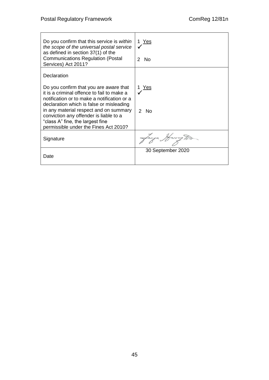| Do you confirm that this service is within<br>the scope of the universal postal service<br>as defined in section 37(1) of the<br><b>Communications Regulation (Postal</b><br>Services) Act 2011?                                                                                                                                                                | <u>1 Yes</u><br>$\mathcal{P}$<br>N <sub>0</sub> |
|-----------------------------------------------------------------------------------------------------------------------------------------------------------------------------------------------------------------------------------------------------------------------------------------------------------------------------------------------------------------|-------------------------------------------------|
| Declaration<br>Do you confirm that you are aware that<br>it is a criminal offence to fail to make a<br>notification or to make a notification or a<br>declaration which is false or misleading<br>in any material respect and on summary<br>conviction any offender is liable to a<br>"class A" fine, the largest fine<br>permissible under the Fines Act 2010? | Yes<br>2 No                                     |
| Signature                                                                                                                                                                                                                                                                                                                                                       | Lanza Harry To                                  |
| Date                                                                                                                                                                                                                                                                                                                                                            | 30 September 2020                               |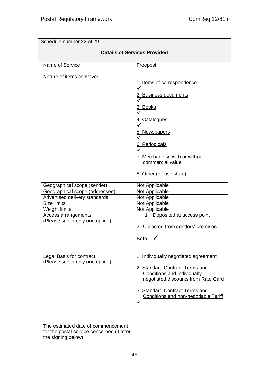| Schedule number 22 of 29                                                                               |                                                                                                                                                                                                                               |
|--------------------------------------------------------------------------------------------------------|-------------------------------------------------------------------------------------------------------------------------------------------------------------------------------------------------------------------------------|
| <b>Details of Services Provided</b>                                                                    |                                                                                                                                                                                                                               |
| Name of Service                                                                                        | Freepost                                                                                                                                                                                                                      |
| Nature of items conveyed                                                                               | 1. Items of correspondence<br>2. Business documents<br><u>3. Books</u><br>4. Catalogues<br>5. Newspapers<br>6. Periodicals<br>7. Merchandise with or without<br>commercial value<br>8. Other (please state)                   |
| Geographical scope (sender)                                                                            | Not Applicable                                                                                                                                                                                                                |
| Geographical scope (addressee)                                                                         | Not Applicable                                                                                                                                                                                                                |
| Advertised delivery standards<br><b>Size limits</b>                                                    | Not Applicable<br>Not Applicable                                                                                                                                                                                              |
| Weight limits                                                                                          | Not Applicable                                                                                                                                                                                                                |
| Access arrangements<br>(Please select only one option)                                                 | Deposited at access point<br>1<br>2 Collected from senders' premises<br>Both                                                                                                                                                  |
| Legal Basis for contract<br>(Please select only one option)                                            | 1. Individually negotiated agreement<br>2. Standard Contract Terms and<br>Conditions and individually<br>negotiated discounts from Rate Card<br>3. Standard Contract Terms and<br><b>Conditions and non-negotiable Tariff</b> |
| The estimated date of commencement<br>for the postal service concerned (if after<br>the signing below) |                                                                                                                                                                                                                               |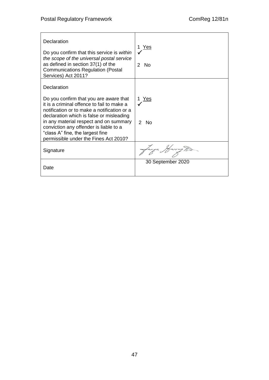| Declaration<br>Do you confirm that this service is within<br>the scope of the universal postal service<br>as defined in section 37(1) of the<br><b>Communications Regulation (Postal</b><br>Services) Act 2011?                                                                                                                                                 | Yes<br><b>No</b><br>$\mathcal{P}$ |
|-----------------------------------------------------------------------------------------------------------------------------------------------------------------------------------------------------------------------------------------------------------------------------------------------------------------------------------------------------------------|-----------------------------------|
| Declaration<br>Do you confirm that you are aware that<br>it is a criminal offence to fail to make a<br>notification or to make a notification or a<br>declaration which is false or misleading<br>in any material respect and on summary<br>conviction any offender is liable to a<br>"class A" fine, the largest fine<br>permissible under the Fines Act 2010? | Yes<br>$\mathcal{P}$<br>- No      |
| Signature                                                                                                                                                                                                                                                                                                                                                       |                                   |
| Date                                                                                                                                                                                                                                                                                                                                                            | 30 September 2020                 |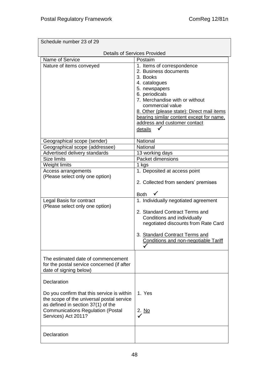| Schedule number 23 of 29                   |                                            |  |
|--------------------------------------------|--------------------------------------------|--|
| <b>Details of Services Provided</b>        |                                            |  |
| Name of Service                            | Postaim                                    |  |
| Nature of items conveyed                   | 1. Items of correspondence                 |  |
|                                            | 2. Business documents                      |  |
|                                            | 3. Books                                   |  |
|                                            | 4. catalogues                              |  |
|                                            | 5. newspapers                              |  |
|                                            | 6. periodicals                             |  |
|                                            | 7. Merchandise with or without             |  |
|                                            | commercial value                           |  |
|                                            | 8. Other (please state): Direct mail items |  |
|                                            | bearing similar content except for name,   |  |
|                                            | address and customer contact               |  |
|                                            | details                                    |  |
|                                            |                                            |  |
| Geographical scope (sender)                | National                                   |  |
| Geographical scope (addressee)             | National                                   |  |
| Advertised delivery standards              | 13 working days                            |  |
| Size limits                                | Packet dimensions                          |  |
| Weight limits                              | 1 kgs                                      |  |
| Access arrangements                        | 1. Deposited at access point               |  |
| (Please select only one option)            |                                            |  |
|                                            | 2. Collected from senders' premises        |  |
|                                            | $\checkmark$<br><b>Both</b>                |  |
| Legal Basis for contract                   | 1. Individually negotiated agreement       |  |
| (Please select only one option)            |                                            |  |
|                                            | 2. Standard Contract Terms and             |  |
|                                            | Conditions and individually                |  |
|                                            | negotiated discounts from Rate Card        |  |
|                                            | 3. Standard Contract Terms and             |  |
|                                            | Conditions and non-negotiable Tariff       |  |
|                                            |                                            |  |
|                                            |                                            |  |
| The estimated date of commencement         |                                            |  |
| for the postal service concerned (if after |                                            |  |
| date of signing below)                     |                                            |  |
| Declaration                                |                                            |  |
|                                            |                                            |  |
| Do you confirm that this service is within | 1. Yes                                     |  |
| the scope of the universal postal service  |                                            |  |
| as defined in section 37(1) of the         |                                            |  |
| <b>Communications Regulation (Postal</b>   | 2. No                                      |  |
| Services) Act 2011?                        |                                            |  |
|                                            |                                            |  |
| Declaration                                |                                            |  |
|                                            |                                            |  |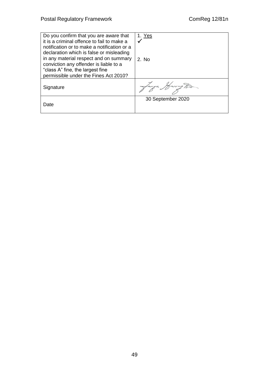| Do you confirm that you are aware that<br>it is a criminal offence to fail to make a<br>notification or to make a notification or a<br>declaration which is false or misleading<br>in any material respect and on summary<br>conviction any offender is liable to a<br>"class A" fine, the largest fine<br>permissible under the Fines Act 2010? | 1. Yes<br>2. No   |
|--------------------------------------------------------------------------------------------------------------------------------------------------------------------------------------------------------------------------------------------------------------------------------------------------------------------------------------------------|-------------------|
| Signature                                                                                                                                                                                                                                                                                                                                        | canza Marington   |
| Date                                                                                                                                                                                                                                                                                                                                             | 30 September 2020 |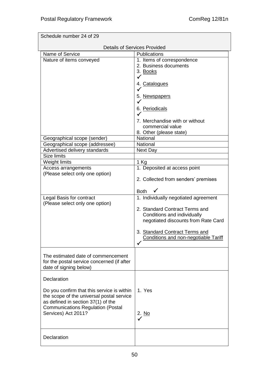|                                            | <b>Details of Services Provided</b>         |
|--------------------------------------------|---------------------------------------------|
| Name of Service                            | Publications                                |
| Nature of items conveyed                   | 1. Items of correspondence                  |
|                                            | 2. Business documents                       |
|                                            | 3. Books                                    |
|                                            | $\checkmark$                                |
|                                            | 4. Catalogues                               |
|                                            |                                             |
|                                            | 5. Newspapers                               |
|                                            |                                             |
|                                            | 6. Periodicals                              |
|                                            |                                             |
|                                            | 7. Merchandise with or without              |
|                                            | commercial value                            |
|                                            | 8. Other (please state)                     |
| Geographical scope (sender)                | National                                    |
| Geographical scope (addressee)             | <b>National</b>                             |
| Advertised delivery standards              | Next Day                                    |
| Size limits                                |                                             |
| Weight limits                              | 1 Kg                                        |
| Access arrangements                        | 1. Deposited at access point                |
| (Please select only one option)            |                                             |
|                                            | 2. Collected from senders' premises         |
|                                            |                                             |
|                                            | <b>Both</b>                                 |
| Legal Basis for contract                   | 1. Individually negotiated agreement        |
| (Please select only one option)            |                                             |
|                                            | 2. Standard Contract Terms and              |
|                                            | Conditions and individually                 |
|                                            | negotiated discounts from Rate Card         |
|                                            |                                             |
|                                            | 3. Standard Contract Terms and              |
|                                            | <b>Conditions and non-negotiable Tariff</b> |
|                                            |                                             |
|                                            |                                             |
| The estimated date of commencement         |                                             |
| for the postal service concerned (if after |                                             |
| date of signing below)                     |                                             |
| Declaration                                |                                             |
|                                            |                                             |
| Do you confirm that this service is within | 1. Yes                                      |
| the scope of the universal postal service  |                                             |
| as defined in section 37(1) of the         |                                             |
| <b>Communications Regulation (Postal</b>   |                                             |
| Services) Act 2011?                        | 2. No                                       |
|                                            |                                             |
|                                            |                                             |
|                                            |                                             |
| Declaration                                |                                             |
|                                            |                                             |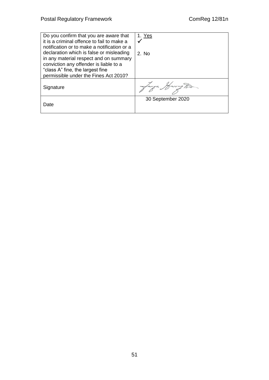| Do you confirm that you are aware that<br>it is a criminal offence to fail to make a<br>notification or to make a notification or a<br>declaration which is false or misleading<br>in any material respect and on summary<br>conviction any offender is liable to a<br>"class A" fine, the largest fine<br>permissible under the Fines Act 2010? | 1. Yes<br>$2.$ No. |
|--------------------------------------------------------------------------------------------------------------------------------------------------------------------------------------------------------------------------------------------------------------------------------------------------------------------------------------------------|--------------------|
| Signature                                                                                                                                                                                                                                                                                                                                        | langa Marrug Ton   |
| Date                                                                                                                                                                                                                                                                                                                                             | 30 September 2020  |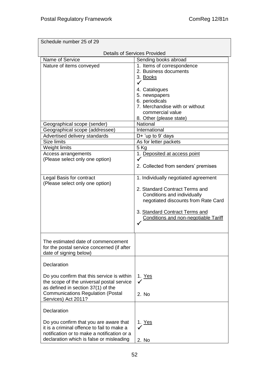| Schedule number 25 of 29                    |                                      |  |
|---------------------------------------------|--------------------------------------|--|
| <b>Details of Services Provided</b>         |                                      |  |
| Name of Service                             | Sending books abroad                 |  |
| Nature of items conveyed                    | 1. Items of correspondence           |  |
|                                             | 2. Business documents                |  |
|                                             | 3. Books                             |  |
|                                             |                                      |  |
|                                             | 4. Catalogues                        |  |
|                                             | 5. newspapers                        |  |
|                                             | 6. periodicals                       |  |
|                                             | 7. Merchandise with or without       |  |
|                                             | commercial value                     |  |
|                                             | 8. Other (please state)              |  |
| Geographical scope (sender)                 | National                             |  |
| Geographical scope (addressee)              | International                        |  |
| Advertised delivery standards               | D+ 'up to 9' days                    |  |
| Size limits                                 | As for letter packets                |  |
| Weight limits                               | 5 Kg                                 |  |
| Access arrangements                         | 1. Deposited at access point         |  |
| (Please select only one option)             |                                      |  |
|                                             |                                      |  |
|                                             | 2. Collected from senders' premises  |  |
| Legal Basis for contract                    | 1. Individually negotiated agreement |  |
| (Please select only one option)             |                                      |  |
|                                             | 2. Standard Contract Terms and       |  |
|                                             | Conditions and individually          |  |
|                                             | negotiated discounts from Rate Card  |  |
|                                             |                                      |  |
|                                             | 3. Standard Contract Terms and       |  |
|                                             | Conditions and non-negotiable Tariff |  |
|                                             |                                      |  |
|                                             |                                      |  |
| The estimated date of commencement          |                                      |  |
| for the postal service concerned (if after  |                                      |  |
| date of signing below)                      |                                      |  |
|                                             |                                      |  |
| Declaration                                 |                                      |  |
| Do you confirm that this service is within  | 1. Yes                               |  |
| the scope of the universal postal service   | ✓                                    |  |
| as defined in section 37(1) of the          |                                      |  |
| <b>Communications Regulation (Postal</b>    |                                      |  |
| Services) Act 2011?                         | 2. No                                |  |
|                                             |                                      |  |
| Declaration                                 |                                      |  |
|                                             |                                      |  |
| Do you confirm that you are aware that      | 1. Yes                               |  |
| it is a criminal offence to fail to make a  |                                      |  |
| notification or to make a notification or a |                                      |  |
| declaration which is false or misleading    | 2. No                                |  |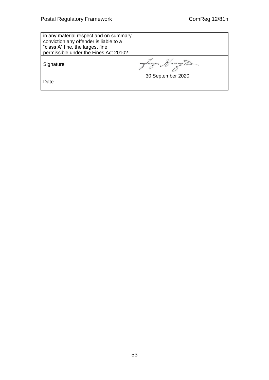| in any material respect and on summary<br>conviction any offender is liable to a<br>"class A" fine, the largest fine<br>permissible under the Fines Act 2010? |                   |
|---------------------------------------------------------------------------------------------------------------------------------------------------------------|-------------------|
| Signature                                                                                                                                                     |                   |
| Date                                                                                                                                                          | 30 September 2020 |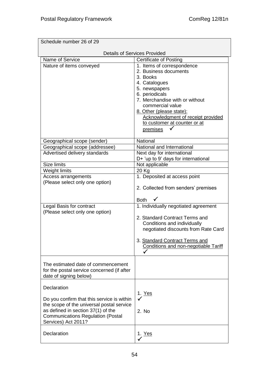| Schedule number 26 of 29                   |                                      |  |
|--------------------------------------------|--------------------------------------|--|
|                                            | <b>Details of Services Provided</b>  |  |
| Name of Service                            | <b>Certificate of Posting</b>        |  |
| Nature of items conveyed                   | 1. Items of correspondence           |  |
|                                            | 2. Business documents                |  |
|                                            | 3. Books                             |  |
|                                            | 4. Catalogues                        |  |
|                                            | 5. newspapers                        |  |
|                                            | 6. periodicals                       |  |
|                                            | 7. Merchandise with or without       |  |
|                                            | commercial value                     |  |
|                                            | 8. Other (please state):             |  |
|                                            | Acknowledgment of receipt provided   |  |
|                                            | to customer at counter or at         |  |
|                                            | premises                             |  |
| Geographical scope (sender)                | <b>National</b>                      |  |
| Geographical scope (addressee)             | National and International           |  |
| Advertised delivery standards              | Next day for international           |  |
|                                            | D+ 'up to 9' days for international  |  |
| Size limits                                | Not applicable                       |  |
| Weight limits                              | 20 Kg                                |  |
| Access arrangements                        | 1. Deposited at access point         |  |
| (Please select only one option)            |                                      |  |
|                                            | 2. Collected from senders' premises  |  |
|                                            | <b>Both</b>                          |  |
| Legal Basis for contract                   | 1. Individually negotiated agreement |  |
| (Please select only one option)            |                                      |  |
|                                            | 2. Standard Contract Terms and       |  |
|                                            | Conditions and individually          |  |
|                                            | negotiated discounts from Rate Card  |  |
|                                            | 3. Standard Contract Terms and       |  |
|                                            | Conditions and non-negotiable Tariff |  |
|                                            |                                      |  |
|                                            |                                      |  |
| The estimated date of commencement         |                                      |  |
| for the postal service concerned (if after |                                      |  |
| date of signing below)                     |                                      |  |
| Declaration                                |                                      |  |
|                                            | 1. <u>Yes</u>                        |  |
| Do you confirm that this service is within | $\checkmark$                         |  |
| the scope of the universal postal service  |                                      |  |
| as defined in section 37(1) of the         | 2. No                                |  |
| <b>Communications Regulation (Postal</b>   |                                      |  |
| Services) Act 2011?                        |                                      |  |
| Declaration                                | <u>1. Yes</u>                        |  |
|                                            |                                      |  |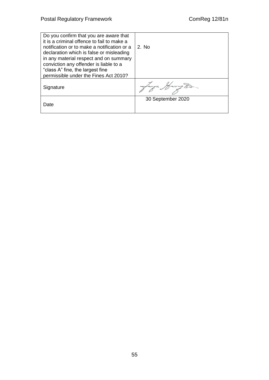| Do you confirm that you are aware that<br>it is a criminal offence to fail to make a<br>notification or to make a notification or a<br>declaration which is false or misleading<br>in any material respect and on summary<br>conviction any offender is liable to a<br>"class A" fine, the largest fine<br>permissible under the Fines Act 2010? | 2. No             |
|--------------------------------------------------------------------------------------------------------------------------------------------------------------------------------------------------------------------------------------------------------------------------------------------------------------------------------------------------|-------------------|
| Signature                                                                                                                                                                                                                                                                                                                                        | larga Harry Tod   |
| Date                                                                                                                                                                                                                                                                                                                                             | 30 September 2020 |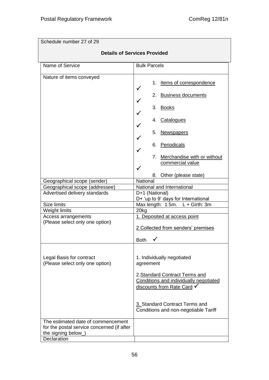| Schedule number 27 of 29                                                                                                                                                                 |                                                                                                                                                                                                                                  |
|------------------------------------------------------------------------------------------------------------------------------------------------------------------------------------------|----------------------------------------------------------------------------------------------------------------------------------------------------------------------------------------------------------------------------------|
| <b>Details of Services Provided</b>                                                                                                                                                      |                                                                                                                                                                                                                                  |
| Name of Service                                                                                                                                                                          | <b>Bulk Parcels</b>                                                                                                                                                                                                              |
| Nature of items conveyed                                                                                                                                                                 | <u>Items of correspondence</u><br>1.<br>2. Business documents<br>3. Books<br>4. Catalogues<br>5.<br><b>Newspapers</b><br>6. Periodicals<br>7. Merchandise with or without<br>commercial value<br>Other (please state)<br>8.      |
| Geographical scope (sender)<br>Geographical scope (addressee)<br>Advertised delivery standards<br>Size limits<br>Weight limits<br>Access arrangements<br>(Please select only one option) | National<br>National and International<br>D+1 (National)<br>D+ 'up to 9' days for International<br>Max length: 1.5m. L + Girth: 3m<br>20kg<br>1. Deposited at access point<br>2. Collected from senders' premises<br><b>Both</b> |
| Legal Basis for contract<br>(Please select only one option)<br>The estimated date of commencement                                                                                        | 1. Individually negotiated<br>agreement<br>2. Standard Contract Terms and<br>Conditions and individually negotiated<br>discounts from Rate Card V<br>3. Standard Contract Terms and<br>Conditions and non-negotiable Tariff      |
| for the postal service concerned (if after<br>the signing below_)<br>Declaration                                                                                                         |                                                                                                                                                                                                                                  |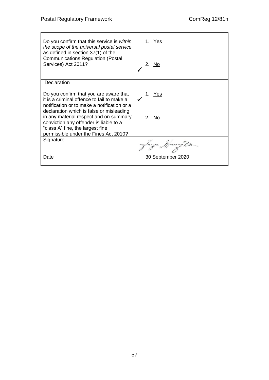| Do you confirm that this service is within<br>the scope of the universal postal service<br>as defined in section 37(1) of the                                                                                                                                                                                                                    | 1. Yes            |
|--------------------------------------------------------------------------------------------------------------------------------------------------------------------------------------------------------------------------------------------------------------------------------------------------------------------------------------------------|-------------------|
| <b>Communications Regulation (Postal</b><br>Services) Act 2011?                                                                                                                                                                                                                                                                                  | 2.<br><b>No</b>   |
| Declaration                                                                                                                                                                                                                                                                                                                                      |                   |
| Do you confirm that you are aware that<br>it is a criminal offence to fail to make a<br>notification or to make a notification or a<br>declaration which is false or misleading<br>in any material respect and on summary<br>conviction any offender is liable to a<br>"class A" fine, the largest fine<br>permissible under the Fines Act 2010? | 1. Yes<br>2. No   |
| Signature                                                                                                                                                                                                                                                                                                                                        |                   |
| Date                                                                                                                                                                                                                                                                                                                                             | 30 September 2020 |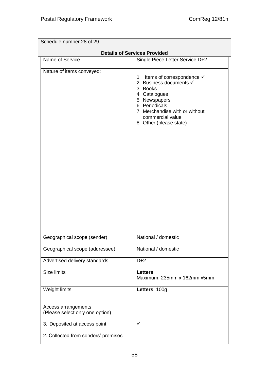| Schedule number 28 of 29                               |                                                                                                                                                                                                        |  |
|--------------------------------------------------------|--------------------------------------------------------------------------------------------------------------------------------------------------------------------------------------------------------|--|
|                                                        | <b>Details of Services Provided</b>                                                                                                                                                                    |  |
| Name of Service                                        | Single Piece Letter Service D+2                                                                                                                                                                        |  |
| Nature of items conveyed:                              | Items of correspondence √<br>1.<br>2 Business documents √<br>3 Books<br>4 Catalogues<br>5 Newspapers<br>6 Periodicals<br>7 Merchandise with or without<br>commercial value<br>8 Other (please state) : |  |
| Geographical scope (sender)                            | National / domestic                                                                                                                                                                                    |  |
| Geographical scope (addressee)                         | National / domestic                                                                                                                                                                                    |  |
| Advertised delivery standards                          | $D+2$                                                                                                                                                                                                  |  |
| <b>Size limits</b>                                     | <b>Letters</b><br>Maximum: 235mm x 162mm x5mm                                                                                                                                                          |  |
| Weight limits                                          | Letters: 100g                                                                                                                                                                                          |  |
| Access arrangements<br>(Please select only one option) |                                                                                                                                                                                                        |  |
| 3. Deposited at access point                           | ✓                                                                                                                                                                                                      |  |
| 2. Collected from senders' premises                    |                                                                                                                                                                                                        |  |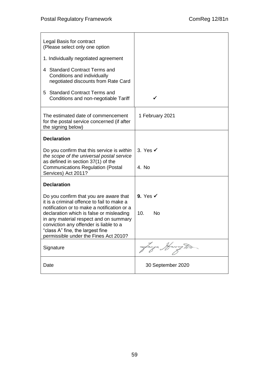| Legal Basis for contract<br>(Please select only one option<br>1. Individually negotiated agreement<br>4 Standard Contract Terms and<br>Conditions and individually<br>negotiated discounts from Rate Card                                                                                                                                        |                                  |
|--------------------------------------------------------------------------------------------------------------------------------------------------------------------------------------------------------------------------------------------------------------------------------------------------------------------------------------------------|----------------------------------|
| 5 Standard Contract Terms and<br>Conditions and non-negotiable Tariff                                                                                                                                                                                                                                                                            | ✓                                |
| The estimated date of commencement<br>for the postal service concerned (if after<br>the signing below)                                                                                                                                                                                                                                           | 1 February 2021                  |
| <b>Declaration</b>                                                                                                                                                                                                                                                                                                                               |                                  |
| Do you confirm that this service is within<br>the scope of the universal postal service<br>as defined in section 37(1) of the<br><b>Communications Regulation (Postal</b><br>Services) Act 2011?                                                                                                                                                 | 3. Yes $\checkmark$<br>4. No     |
| <b>Declaration</b>                                                                                                                                                                                                                                                                                                                               |                                  |
| Do you confirm that you are aware that<br>it is a criminal offence to fail to make a<br>notification or to make a notification or a<br>declaration which is false or misleading<br>in any material respect and on summary<br>conviction any offender is liable to a<br>"class A" fine, the largest fine<br>permissible under the Fines Act 2010? | 9. Yes $\checkmark$<br>10.<br>No |
| Signature                                                                                                                                                                                                                                                                                                                                        |                                  |
| Date                                                                                                                                                                                                                                                                                                                                             | 30 September 2020                |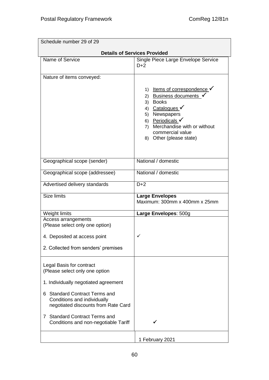| Schedule number 29 of 29                                                                                                                                                                                  |                                                                                                                                                                                                                        |
|-----------------------------------------------------------------------------------------------------------------------------------------------------------------------------------------------------------|------------------------------------------------------------------------------------------------------------------------------------------------------------------------------------------------------------------------|
|                                                                                                                                                                                                           | <b>Details of Services Provided</b>                                                                                                                                                                                    |
| Name of Service                                                                                                                                                                                           | Single Piece Large Envelope Service<br>$D+2$                                                                                                                                                                           |
| Nature of items conveyed:                                                                                                                                                                                 |                                                                                                                                                                                                                        |
|                                                                                                                                                                                                           | 1) Items of correspondence <del>V</del><br>2) Business documents<br>3) Books<br>4) Catalogues<br>Newspapers<br>5)<br>6) Periodicals V<br>7) Merchandise with or without<br>commercial value<br>8) Other (please state) |
| Geographical scope (sender)                                                                                                                                                                               | National / domestic                                                                                                                                                                                                    |
| Geographical scope (addressee)                                                                                                                                                                            | National / domestic                                                                                                                                                                                                    |
| Advertised delivery standards                                                                                                                                                                             | $D+2$                                                                                                                                                                                                                  |
| <b>Size limits</b>                                                                                                                                                                                        | <b>Large Envelopes</b><br>Maximum: 300mm x 400mm x 25mm                                                                                                                                                                |
| Weight limits                                                                                                                                                                                             | Large Envelopes: 500g                                                                                                                                                                                                  |
| Access arrangements                                                                                                                                                                                       |                                                                                                                                                                                                                        |
| (Please select only one option)<br>4. Deposited at access point                                                                                                                                           | ✓                                                                                                                                                                                                                      |
| 2. Collected from senders' premises                                                                                                                                                                       |                                                                                                                                                                                                                        |
| Legal Basis for contract<br>(Please select only one option<br>1. Individually negotiated agreement<br>6 Standard Contract Terms and<br>Conditions and individually<br>negotiated discounts from Rate Card |                                                                                                                                                                                                                        |
| <b>Standard Contract Terms and</b><br>7<br>Conditions and non-negotiable Tariff                                                                                                                           |                                                                                                                                                                                                                        |
|                                                                                                                                                                                                           | 1 February 2021                                                                                                                                                                                                        |